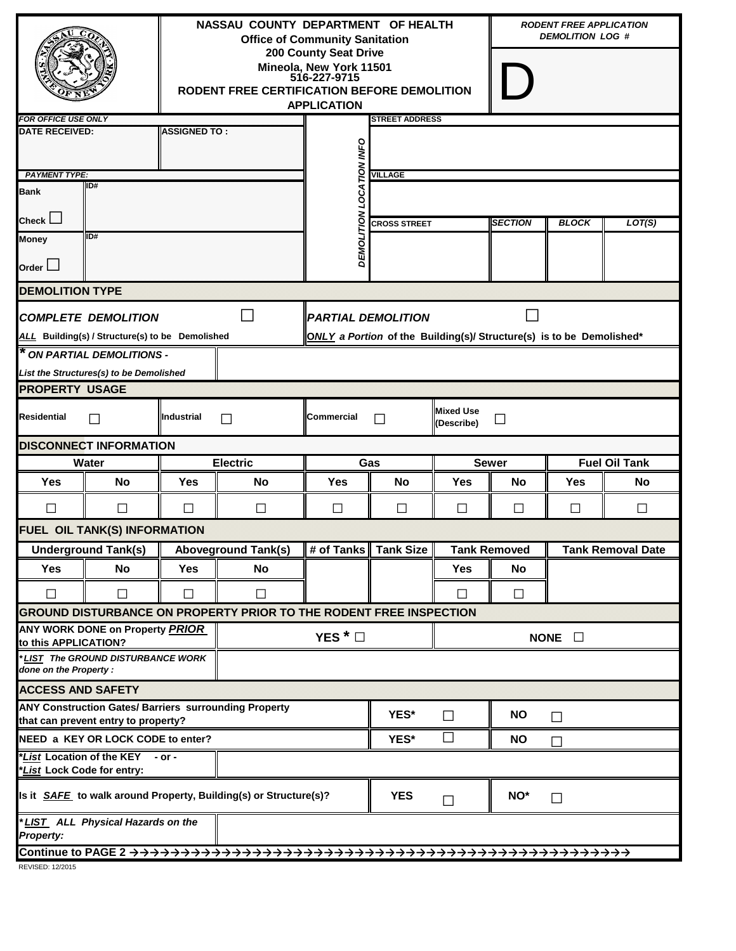|                                                                                                     |                                                                               |                                                                                                          | NASSAU COUNTY DEPARTMENT OF HEALTH<br><b>Office of Community Sanitation</b><br><b>200 County Seat Drive</b><br>Mineola, New York 11501<br>516-227-9715<br>RODENT FREE CERTIFICATION BEFORE DEMOLITION<br><b>APPLICATION</b> |                                    |                       |                                                 |              | <b>RODENT FREE APPLICATION</b><br><b>DEMOLITION LOG #</b> |                      |  |  |
|-----------------------------------------------------------------------------------------------------|-------------------------------------------------------------------------------|----------------------------------------------------------------------------------------------------------|-----------------------------------------------------------------------------------------------------------------------------------------------------------------------------------------------------------------------------|------------------------------------|-----------------------|-------------------------------------------------|--------------|-----------------------------------------------------------|----------------------|--|--|
| <b>FOR OFFICE USE ONLY</b>                                                                          |                                                                               |                                                                                                          |                                                                                                                                                                                                                             |                                    | <b>STREET ADDRESS</b> |                                                 |              |                                                           |                      |  |  |
| <b>DATE RECEIVED:</b>                                                                               |                                                                               | <b>ASSIGNED TO:</b>                                                                                      |                                                                                                                                                                                                                             | <b>INFO</b>                        |                       |                                                 |              |                                                           |                      |  |  |
| <b>PAYMENT TYPE:</b><br><b>Bank</b>                                                                 | ID#                                                                           | <b>NOVI</b><br>δ<br>Ο                                                                                    | <b>VILLAGE</b>                                                                                                                                                                                                              |                                    |                       |                                                 |              |                                                           |                      |  |  |
| Check $\Box$                                                                                        |                                                                               |                                                                                                          | <b>CROSS STREET</b>                                                                                                                                                                                                         |                                    | <b>SECTION</b>        | <b>BLOCK</b>                                    | LOT(S)       |                                                           |                      |  |  |
| ID#<br><b>Money</b><br>Order $\Box$                                                                 |                                                                               |                                                                                                          |                                                                                                                                                                                                                             | DEMOLITION                         |                       |                                                 |              |                                                           |                      |  |  |
| <b>DEMOLITION TYPE</b>                                                                              |                                                                               |                                                                                                          |                                                                                                                                                                                                                             |                                    |                       |                                                 |              |                                                           |                      |  |  |
|                                                                                                     | <b>COMPLETE DEMOLITION</b><br>ALL Building(s) / Structure(s) to be Demolished | <b>PARTIAL DEMOLITION</b><br><b>ONLY</b> a Portion of the Building(s)/ Structure(s) is to be Demolished* |                                                                                                                                                                                                                             |                                    |                       |                                                 |              |                                                           |                      |  |  |
| * ON PARTIAL DEMOLITIONS -<br>List the Structures(s) to be Demolished                               |                                                                               |                                                                                                          |                                                                                                                                                                                                                             |                                    |                       |                                                 |              |                                                           |                      |  |  |
| <b>PROPERTY USAGE</b>                                                                               |                                                                               |                                                                                                          |                                                                                                                                                                                                                             |                                    |                       |                                                 |              |                                                           |                      |  |  |
| <b>Residential</b>                                                                                  | $\mathsf{L}$                                                                  | Industrial                                                                                               | $\mathsf{L}$                                                                                                                                                                                                                | <b>Commercial</b>                  | П                     | <b>Mixed Use</b><br>(Describe)                  | $\sim$       |                                                           |                      |  |  |
|                                                                                                     | <b>DISCONNECT INFORMATION</b>                                                 |                                                                                                          |                                                                                                                                                                                                                             |                                    |                       |                                                 |              |                                                           |                      |  |  |
|                                                                                                     | Water                                                                         |                                                                                                          | <b>Electric</b>                                                                                                                                                                                                             | Gas                                |                       | <b>Sewer</b>                                    |              |                                                           | <b>Fuel Oil Tank</b> |  |  |
| Yes                                                                                                 | <b>No</b>                                                                     | Yes                                                                                                      | No                                                                                                                                                                                                                          | Yes                                | No                    | <b>Yes</b>                                      | <b>No</b>    | <b>Yes</b>                                                | No                   |  |  |
| П                                                                                                   | □                                                                             | $\mathsf{L}$                                                                                             | П                                                                                                                                                                                                                           | П                                  | $\mathsf{L}$          | □                                               | $\mathsf{L}$ | П                                                         | П                    |  |  |
|                                                                                                     | FUEL OIL TANK(S) INFORMATION                                                  |                                                                                                          |                                                                                                                                                                                                                             |                                    |                       |                                                 |              |                                                           |                      |  |  |
|                                                                                                     | <b>Underground Tank(s)</b>                                                    |                                                                                                          | <b>Aboveground Tank(s)</b>                                                                                                                                                                                                  | <b>Butary # 4 set of Tank Size</b> |                       | <b>Tank Removed</b><br><b>Tank Removal Date</b> |              |                                                           |                      |  |  |
| <b>Yes</b>                                                                                          | <b>No</b>                                                                     | <b>Yes</b>                                                                                               | No                                                                                                                                                                                                                          |                                    |                       | <b>Yes</b>                                      | No           |                                                           |                      |  |  |
| $\Box$                                                                                              | $\Box$                                                                        | $\Box$                                                                                                   | $\Box$                                                                                                                                                                                                                      |                                    |                       | $\Box$                                          | $\Box$       |                                                           |                      |  |  |
|                                                                                                     |                                                                               |                                                                                                          | <b>GROUND DISTURBANCE ON PROPERTY PRIOR TO THE RODENT FREE INSPECTION</b>                                                                                                                                                   |                                    |                       |                                                 |              |                                                           |                      |  |  |
| ANY WORK DONE on Property PRIOR<br>to this APPLICATION?                                             |                                                                               |                                                                                                          |                                                                                                                                                                                                                             | YES <sup><math>*</math></sup>      |                       | NONE $\square$                                  |              |                                                           |                      |  |  |
| done on the Property:                                                                               | LIST The GROUND DISTURBANCE WORK                                              |                                                                                                          |                                                                                                                                                                                                                             |                                    |                       |                                                 |              |                                                           |                      |  |  |
| <b>ACCESS AND SAFETY</b>                                                                            |                                                                               |                                                                                                          |                                                                                                                                                                                                                             |                                    |                       |                                                 |              |                                                           |                      |  |  |
| <b>ANY Construction Gates/ Barriers surrounding Property</b><br>that can prevent entry to property? |                                                                               |                                                                                                          |                                                                                                                                                                                                                             |                                    | YES*                  | $\Box$                                          | <b>NO</b>    | $\Box$                                                    |                      |  |  |
|                                                                                                     | NEED a KEY OR LOCK CODE to enter?                                             |                                                                                                          | YES*                                                                                                                                                                                                                        | $\Box$                             | <b>NO</b>             | П                                               |              |                                                           |                      |  |  |
| *List Location of the KEY<br>$-$ or $-$<br>*List Lock Code for entry:                               |                                                                               |                                                                                                          |                                                                                                                                                                                                                             |                                    |                       |                                                 |              |                                                           |                      |  |  |
| Is it <b>SAFE</b> to walk around Property, Building(s) or Structure(s)?                             |                                                                               |                                                                                                          |                                                                                                                                                                                                                             |                                    | <b>YES</b>            | $\Box$                                          | NO*          | $\Box$                                                    |                      |  |  |
| *LIST ALL Physical Hazards on the<br><b>Property:</b>                                               |                                                                               |                                                                                                          |                                                                                                                                                                                                                             |                                    |                       |                                                 |              |                                                           |                      |  |  |
|                                                                                                     |                                                                               |                                                                                                          |                                                                                                                                                                                                                             |                                    |                       |                                                 |              |                                                           |                      |  |  |
| REVISED: 12/2015                                                                                    |                                                                               |                                                                                                          |                                                                                                                                                                                                                             |                                    |                       |                                                 |              |                                                           |                      |  |  |